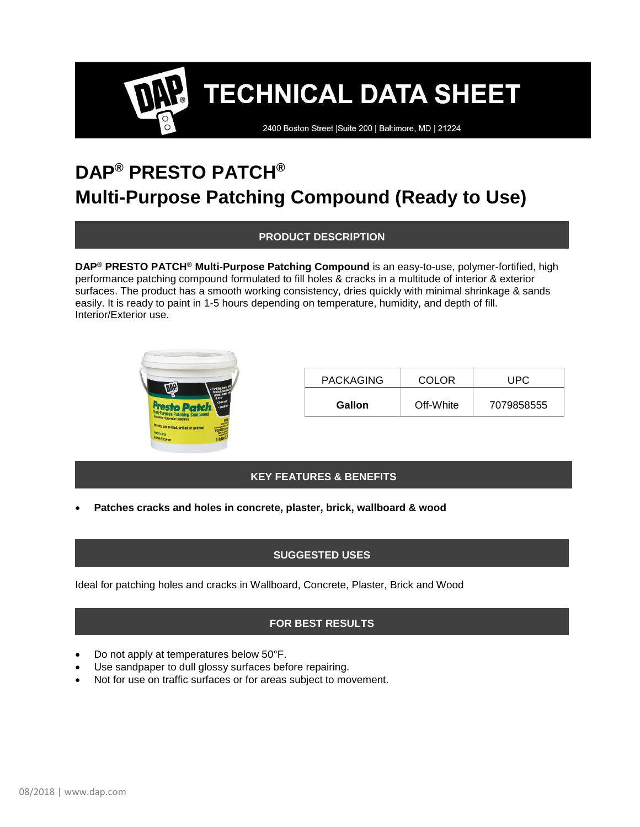**TECHNICAL DATA SHEET** 

2400 Boston Street | Suite 200 | Baltimore, MD | 21224

## **DAP® PRESTO PATCH® Multi-Purpose Patching Compound (Ready to Use)**

**PRODUCT DESCRIPTION**

**DAP® PRESTO PATCH® Multi-Purpose Patching Compound** is an easy-to-use, polymer-fortified, high performance patching compound formulated to fill holes & cracks in a multitude of interior & exterior surfaces. The product has a smooth working consistency, dries quickly with minimal shrinkage & sands easily. It is ready to paint in 1-5 hours depending on temperature, humidity, and depth of fill. Interior/Exterior use.



| <b>PACKAGING</b> | COLOR.    | UPC.       |
|------------------|-----------|------------|
| <b>Gallon</b>    | Off-White | 7079858555 |

### **KEY FEATURES & BENEFITS**

• **Patches cracks and holes in concrete, plaster, brick, wallboard & wood**

### **SUGGESTED USES**

Ideal for patching holes and cracks in Wallboard, Concrete, Plaster, Brick and Wood

### **FOR BEST RESULTS**

- Do not apply at temperatures below 50°F.
- Use sandpaper to dull glossy surfaces before repairing.
- Not for use on traffic surfaces or for areas subject to movement.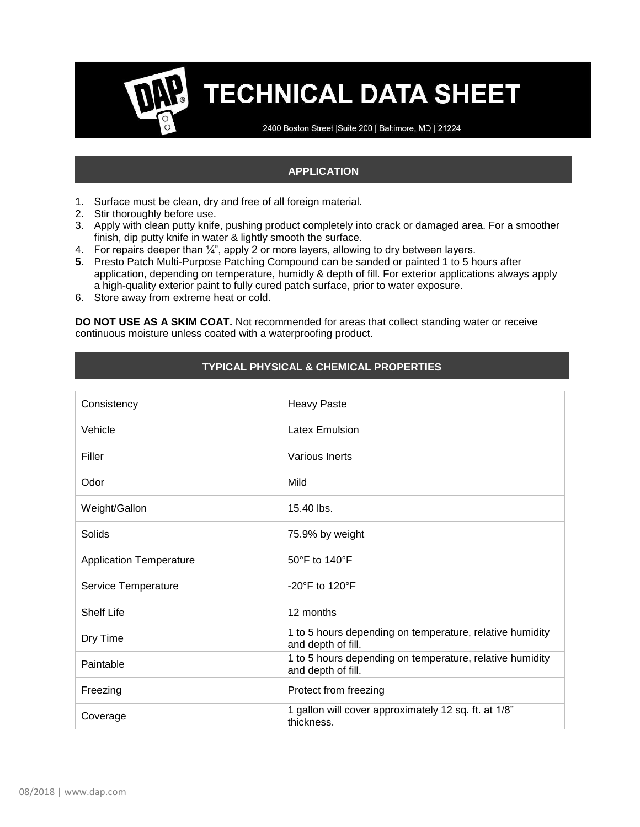# **TECHNICAL DATA SHEET**

2400 Boston Street | Suite 200 | Baltimore, MD | 21224

### **APPLICATION**

- 1. Surface must be clean, dry and free of all foreign material.
- 2. Stir thoroughly before use.
- 3. Apply with clean putty knife, pushing product completely into crack or damaged area. For a smoother finish, dip putty knife in water & lightly smooth the surface.
- 4. For repairs deeper than  $\frac{1}{4}$ , apply 2 or more layers, allowing to dry between layers.
- **5.** Presto Patch Multi-Purpose Patching Compound can be sanded or painted 1 to 5 hours after application, depending on temperature, humidly & depth of fill. For exterior applications always apply a high-quality exterior paint to fully cured patch surface, prior to water exposure.
- 6. Store away from extreme heat or cold.

**DO NOT USE AS A SKIM COAT.** Not recommended for areas that collect standing water or receive continuous moisture unless coated with a waterproofing product.

### **TYPICAL PHYSICAL & CHEMICAL PROPERTIES**

| Consistency                    | <b>Heavy Paste</b>                                                             |
|--------------------------------|--------------------------------------------------------------------------------|
| Vehicle                        | <b>Latex Emulsion</b>                                                          |
| Filler                         | Various Inerts                                                                 |
| Odor                           | Mild                                                                           |
| Weight/Gallon                  | 15.40 lbs.                                                                     |
| Solids                         | 75.9% by weight                                                                |
| <b>Application Temperature</b> | 50°F to 140°F                                                                  |
| Service Temperature            | $-20^\circ$ F to 120 $^\circ$ F                                                |
| <b>Shelf Life</b>              | 12 months                                                                      |
| Dry Time                       | 1 to 5 hours depending on temperature, relative humidity<br>and depth of fill. |
| Paintable                      | 1 to 5 hours depending on temperature, relative humidity<br>and depth of fill. |
| Freezing                       | Protect from freezing                                                          |
| Coverage                       | 1 gallon will cover approximately 12 sq. ft. at 1/8"<br>thickness.             |